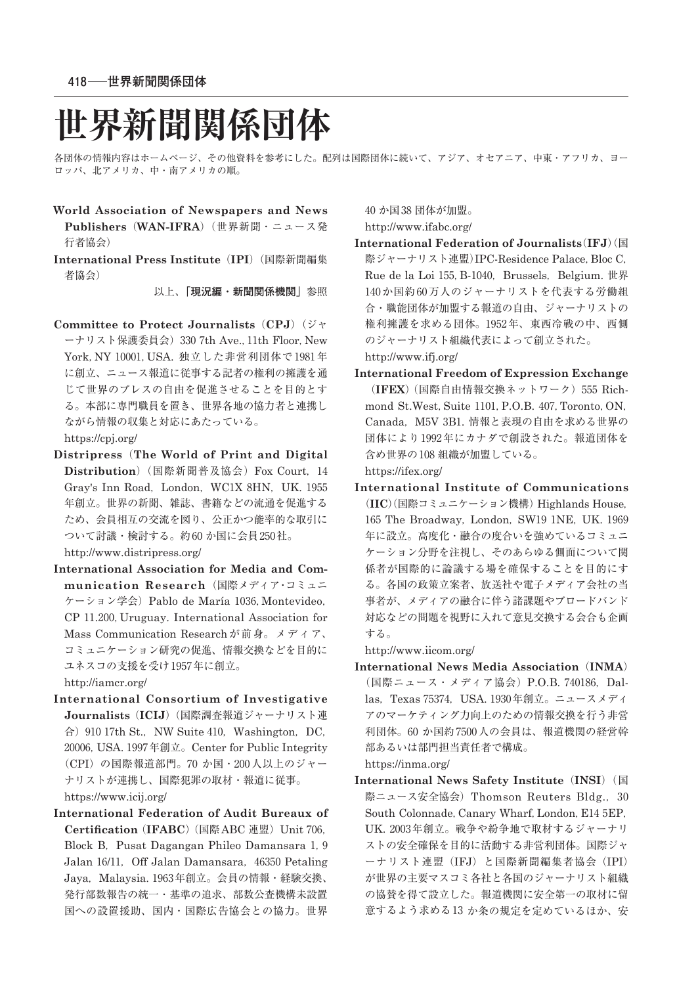# **世界新聞関係団体**

各団体の情報内容はホームページ、その他資料を参考にした。配列は国際団体に続いて、アジア、オセアニア、中東・アフリカ、ヨー ロッパ、北アメリカ、中・南アメリカの順。

- **World Association of Newspapers and News Publishers**(**WAN-IFRA**)(世界新聞・ニュース発 行者協会)
- **International Press Institute**(**IPI**)(国際新聞編集 者協会)

以上、**「現況編・新聞関係機関」**参照

**Committee to Protect Journalists**(**CPJ**)(ジャ ーナリスト保護委員会) 330 7th Ave., 11th Floor, New York, NY 10001, USA. 独立した非営利団体で 1981年 に創立、ニュース報道に従事する記者の権利の擁護を通 じて世界のプレスの自由を促進させることを目的とす る。本部に専門職員を置き、世界各地の協力者と連携し ながら情報の収集と対応にあたっている。

https://cpj.org/

- **Distripress**(**The World of Print and Digital Distribution**) (国際新聞普及協会) Fox Court, 14 Gray's Inn Road, London, WC1X 8HN, UK. 1955 年創立。世界の新聞、雑誌、書籍などの流通を促進する ため、会員相互の交流を図り、公正かつ能率的な取引に ついて討議・検討する。約60か国に会員250社。 http://www.distripress.org/
- **International Association for Media and Communication Research**(国際メディア・コミュニ ケーション学会) Pablo de María 1036, Montevideo, CP 11.200. Uruguay. International Association for Mass Communication Research が前身。メディア、 コミュニケーション研究の促進、情報交換などを目的に ユネスコの支援を受け1957年に創立。

http://iamcr.org/

- **International Consortium of Investigative Journalists**(**ICIJ**)(国際調査報道ジャーナリスト連 合) 910 17th St., NW Suite 410, Washington, DC, 20006, USA. 1997年創立。Center for Public Integrity (CPI) の国際報道部門。70 か国・200人以上のジャー ナリストが連携し、国際犯罪の取材・報道に従事。 https://www.icij.org/
- **International Federation of Audit Bureaux of Certification** (IFABC) (国際ABC 連盟) Unit 706, Block B, Pusat Dagangan Phileo Damansara 1, 9 Jalan 16/11, Off Jalan Damansara, 46350 Petaling Jaya, Malaysia. 1963年創立。会員の情報・経験交換、 発行部数報告の統一・基準の追求、部数公査機構未設置 国への設置援助、国内・国際広告協会との協力。世界

₄₀ か国 ₃₈ 団体が加盟。

http://www.ifabc.org/

**International Federation of Journalists**(**IFJ**)(国 際ジャーナリスト連盟)IPC-Residence Palace, Bloc C, Rue de la Loi 155, B-1040, Brussels, Belgium. 世界 140か国約60万人のジャーナリストを代表する労働組 合・職能団体が加盟する報道の自由、ジャーナリストの 権利擁護を求める団体。1952年、東西冷戦の中、西側 のジャーナリスト組織代表によって創立された。

http://www.ifj.org/

**International Freedom of Expression Exchange** (IFEX) (国際自由情報交換ネットワーク) 555 Richmond St.West, Suite 1101, P.O.B. 407, Toronto, ON, Canada, M5V 3B1. 情報と表現の自由を求める世界の 団体により1992年にカナダで創設された。報道団体を 含め世界の108組織が加盟している。

https://ifex.org/

**International Institute of Communications** (**IIC**)(国際コミュニケーション機構) Highlands House, 165 The Broadway, London, SW19 1NE, UK. 1969 年に設立。高度化・融合の度合いを強めているコミュニ ケーション分野を注視し、そのあらゆる側面について関 係者が国際的に論議する場を確保することを目的にす る。各国の政策立案者、放送社や電子メディア会社の当 事者が、メディアの融合に伴う諸課題やブロードバンド 対応などの問題を視野に入れて意見交換する会合も企画 する。

http://www.iicom.org/

**International News Media Association**(**INMA**) (国際ニュース・メディア協会) P.O.B. 740186. Dallas, Texas 75374, USA, 1930年創立。ニュースメディ アのマーケティング力向上のための情報交換を行う非営 利団体。60 か国約 7500人の会員は、報道機関の経営幹 部あるいは部門担当責任者で構成。

https://inma.org/

**International News Safety Institute (INSI) (国** 際ニュース安全協会) Thomson Reuters Bldg., 30 South Colonnade, Canary Wharf, London, E14 5EP, UK. 2003年創立。戦争や紛争地で取材するジャーナリ ストの安全確保を目的に活動する非営利団体。国際ジャ ーナリスト連盟(IFJ)と国際新聞編集者協会(IPI) が世界の主要マスコミ各社と各国のジャーナリスト組織 の協賛を得て設立した。報道機関に安全第一の取材に留 意するよう求める13 か条の規定を定めているほか、安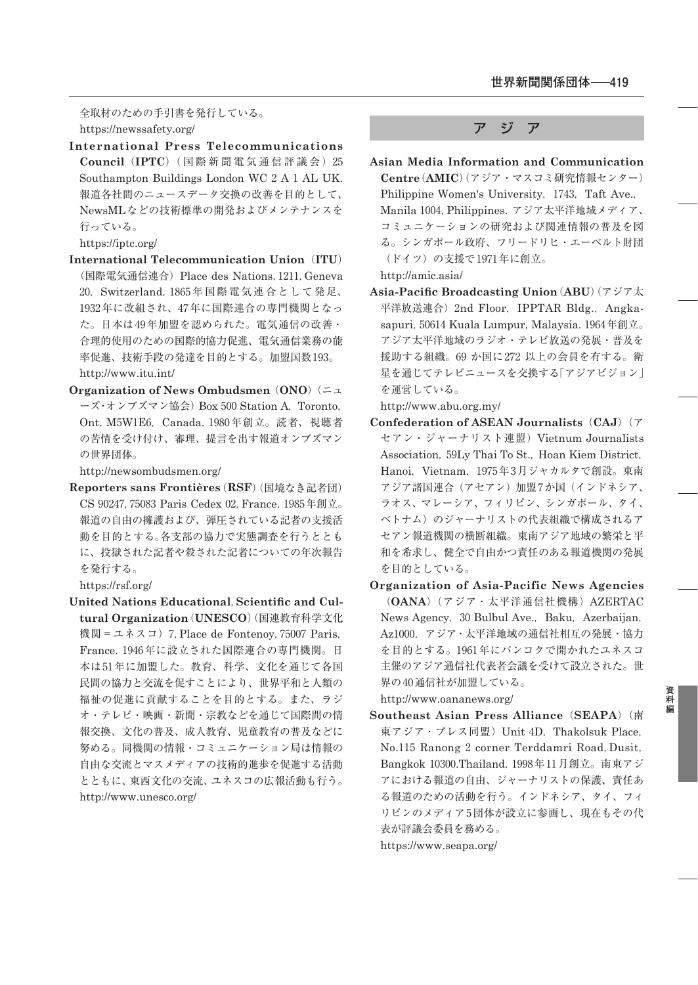全取材のための手引書を発行している。 https://newssafety.org/

**International Press Telecommunications Council** (IPTC) (国際新聞電気通信評議会) 25 Southampton Buildings London WC 2 A 1 AL UK. 報道各社間のニュースデータ交換の改善を目的として、 NewsMLなどの技術標準の開発およびメンテナンスを 行っている。

https://iptc.org/

- **International Telecommunication Union**(**ITU**) (国際電気通信連合) Place des Nations, 1211, Geneva ₂₀,Switzerland. ₁₈₆₅ 年国際電気連合として発足、 1932年に改組され、47年に国際連合の専門機関となっ た。日本は49年加盟を認められた。電気通信の改善・ 合理的使用のための国際的協力促進、電気通信業務の能 率促進、技術手段の発達を目的とする。加盟国数193。 http://www.itu.int/
- **Organization of News Ombudsmen**(**ONO**)(ニュ ーズ・オンブズマン協会) Box 500 Station A, Toronto, Ont. M5W1E6, Canada. 1980年創立。読者、視聴者 の苦情を受け付け、審理、提言を出す報道オンブズマン の世界団体。

http://newsombudsmen.org/

**Reporters sans Frontières**(**RSF**)(国境なき記者団) CS 90247, 75083 Paris Cedex 02, France. 1985年創立。 報道の自由の擁護および、弾圧されている記者の支援活 動を目的とする。各支部の協力で実態調査を行うととも に、投獄された記者や殺された記者についての年次報告 を発行する。

https://rsf.org/

**United Nations Educational**,**Scientific and Cultural Organization**(**UNESCO**)(国連教育科学文化 機関 = ユネスコ) 7, Place de Fontenoy, 75007 Paris, France. 1946年に設立された国際連合の専門機関。日 本は51年に加盟した。教育、科学、文化を通じて各国 民間の協力と交流を促すことにより、世界平和と人類の 福祉の促進に貢献することを目的とする。また、ラジ オ・テレビ・映画・新聞・宗教などを通じて国際間の情 報交換、文化の普及、成人教育、児童教育の普及などに 努める。同機関の情報・コミュニケーション局は情報の 自由な交流とマスメディアの技術的進歩を促進する活動 とともに、東西文化の交流、ユネスコの広報活動も行う。 http://www.unesco.org/

## ア ジ ア

**Asian Media Information and Communication Centre**(**AMIC**)(アジア・マスコミ研究情報センター) Philippine Women's University, 1743. Taft Ave., Manila 1004, Philippines. アジア太平洋地域メディア、 コミュニケーションの研究および関連情報の普及を図 る。シンガポール政府、フリードリヒ・エーベルト財団 (ドイツ)の支援で1971年に創立。

http://amic.asia/

**Asia-Pacific Broadcasting Union**(**ABU**)(アジア太 平洋放送連合) 2nd Floor, IPPTAR Bldg., Angkasapuri, 50614 Kuala Lumpur, Malaysia. 1964年創立。 アジア太平洋地域のラジオ・テレビ放送の発展・普及を 援助する組織。69 か国に 272 以上の会員を有する。衛 星を通じてテレビニュースを交換する「アジアビジョン」 を運営している。

http://www.abu.org.my/

- **Confederation of ASEAN Journalists**(**CAJ**)(ア セアン・ジャーナリスト連盟)Vietnum Journalists Association, 59Ly Thai To St., Hoan Kiem District, Hanoi, Vietnam. 1975年3月ジャカルタで創設。東南 アジア諸国連合(アセアン)加盟 7か国(インドネシア、 ラオス、マレーシア、フィリピン、シンガポール、タイ、 ベトナム)のジャーナリストの代表組織で構成されるア セアン報道機関の横断組織。東南アジア地域の繁栄と平 和を希求し、健全で自由かつ責任のある報道機関の発展 を目的としている。
- **Organization of Asia-Pacific News Agencies** (**OANA**)(アジア・太平洋通信社機構)AZERTAC News Agency, 30 Bulbul Ave., Baku, Azerbaijan, Az1000. アジア·太平洋地域の通信社相互の発展·協力 を目的とする。1961年にバンコクで開かれたユネスコ 主催のアジア通信社代表者会議を受けて設立された。世 界の40通信社が加盟している。

http://www.oananews.org/

**Southeast Asian Press Alliance**(**SEAPA**)(南 東アジア・プレス同盟) Unit 4D, Thakolsuk Place, No.₁₁₅ Ranong ₂ corner Terddamri Road,Dusit, Bangkok 10300.Thailand. 1998年11月創立。南東アジ アにおける報道の自由、ジャーナリストの保護、責任あ る報道のための活動を行う。インドネシア、タイ、フィ リピンのメディア5団体が設立に参画し、現在もその代 表が評議会委員を務める。

https://www.seapa.org/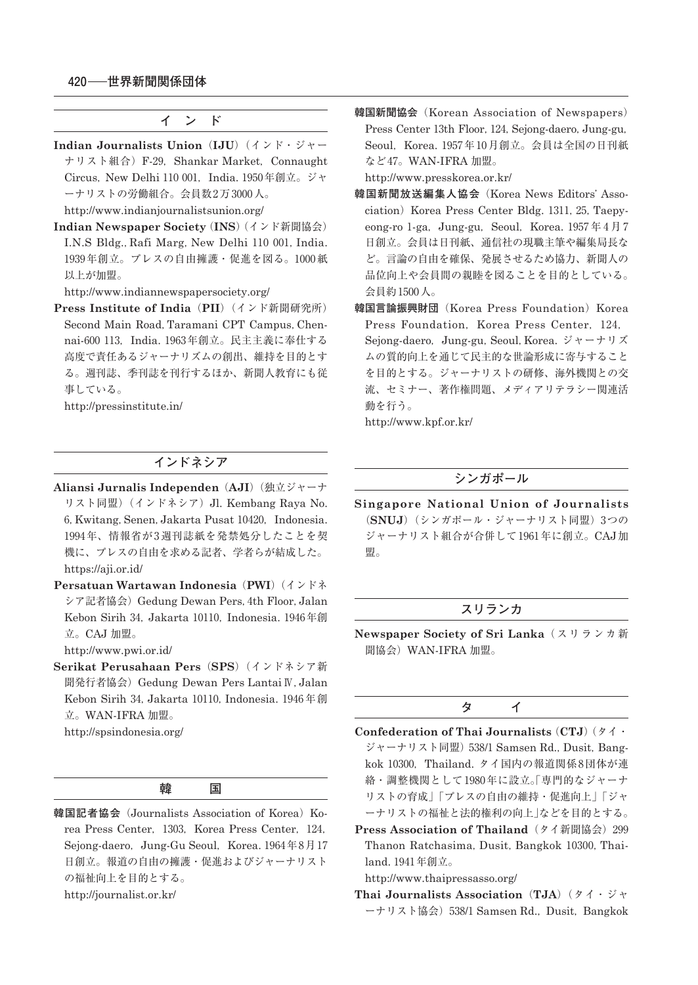**イ ン ド**

**Indian Journalists Union**(**IJU**)(インド・ジャー ナリスト組合) F-29, Shankar Market, Connaught Circus, New Delhi 110 001. India. 1950年創立。ジャ ーナリストの労働組合。会員数 2万 3000人。

http://www.indianjournalistsunion.org/

**Indian Newspaper Society**(**INS**)(インド新聞協会) I.N.S Bldg., Rafi Marg, New Delhi 110 001, India. 1939年創立。プレスの自由擁護・促進を図る。1000紙 以上が加盟。

http://www.indiannewspapersociety.org/

**Press Institute of India**(**PII**)(インド新聞研究所) Second Main Road, Taramani CPT Campus, Chennai-600 113. India. 1963年創立。民主主義に奉仕する 高度で責任あるジャーナリズムの創出、維持を目的とす る。週刊誌、季刊誌を刊行するほか、新聞人教育にも従 事している。

http://pressinstitute.in/

# **インドネシア**

- **Aliansi Jurnalis Independen**(**AJI**)(独立ジャーナ リスト同盟) (インドネシア) Jl. Kembang Raya No. 6, Kwitang, Senen, Jakarta Pusat 10420, Indonesia. 1994年、情報省が3週刊誌紙を発禁処分したことを契 機に、プレスの自由を求める記者、学者らが結成した。 https://aji.or.id/
- **Persatuan Wartawan Indonesia**(**PWI**)(インドネ シア記者協会) Gedung Dewan Pers, 4th Floor, Jalan Kebon Sirih 34, Jakarta 10110, Indonesia, 1946年創 立。CAJ 加盟。

http://www.pwi.or.id/

**Serikat Perusahaan Pers**(**SPS**)(インドネシア新 聞発行者協会)Gedung Dewan Pers LantaiⅣ,Jalan Kebon Sirih 34, Jakarta 10110, Indonesia, 1946年創 立。WAN-IFRA 加盟。

http://spsindonesia.org/

|--|

韓国記者協会 (Journalists Association of Korea) Korea Press Center, 1303, Korea Press Center, 124, Sejong-daero, Jung-Gu Seoul, Korea.  $1964$ 年8月17 日創立。報道の自由の擁護・促進およびジャーナリスト の福祉向上を目的とする。 http://journalist.or.kr/

**韓国新聞協会**(Korean Association of Newspapers) Press Center 13th Floor, 124, Sejong-daero, Jung-gu, Seoul, Korea. 1957年10月創立。会員は全国の日刊紙 など47。WAN-IFRA 加盟。

http://www.presskorea.or.kr/

- **韓国新聞放送編集人協会**(Korea News Editors' Association) Korea Press Center Bldg. 1311, 25. Taepyeong-ro 1-ga, Jung-gu, Seoul, Korea. 1957年4月7 日創立。会員は日刊紙、通信社の現職主筆や編集局長な ど。言論の自由を確保、発展させるため協力、新聞人の 品位向上や会員間の親睦を図ることを目的としている。 会員約 ₁₅₀₀人。
- **韓国言論振興財団**(Korea Press Foundation)Korea Press Foundation, Korea Press Center, 124. Sejong-daero,Jung-gu,Seoul,Korea. ジャーナリズ ムの質的向上を通じて民主的な世論形成に寄与すること を目的とする。ジャーナリストの研修、海外機関との交 流、セミナー、著作権問題、メディアリテラシー関連活 動を行う。

http://www.kpf.or.kr/

# **シンガポール**

**Singapore National Union of Journalists** (SNUJ)(シンガポール·ジャーナリスト同盟) 3つの ジャーナリスト組合が合併して1961年に創立。CAJ加 盟。

#### **スリランカ**

**Newspaper Society of Sri Lanka**(スリランカ新 聞協会)WAN-IFRA 加盟。

# **タ イ**

- **Confederation of Thai Journalists**(**CTJ**)(タイ・ ジャーナリスト同盟) 538/1 Samsen Rd., Dusit, Bangkok ₁₀₃₀₀,Thailand. タイ国内の報道関係 ₈団体が連 絡・調整機関として1980年に設立。「専門的なジャーナ リストの育成」「プレスの自由の維持・促進向上」「ジャ ーナリストの福祉と法的権利の向上」などを目的とする。
- Press Association of Thailand (タイ新聞協会) 299 Thanon Ratchasima, Dusit, Bangkok 10300, Thailand. 1941年創立。

http://www.thaipressasso.org/

**Thai Journalists Association**(**TJA**)(タイ・ジャ ーナリスト協会) 538/1 Samsen Rd., Dusit, Bangkok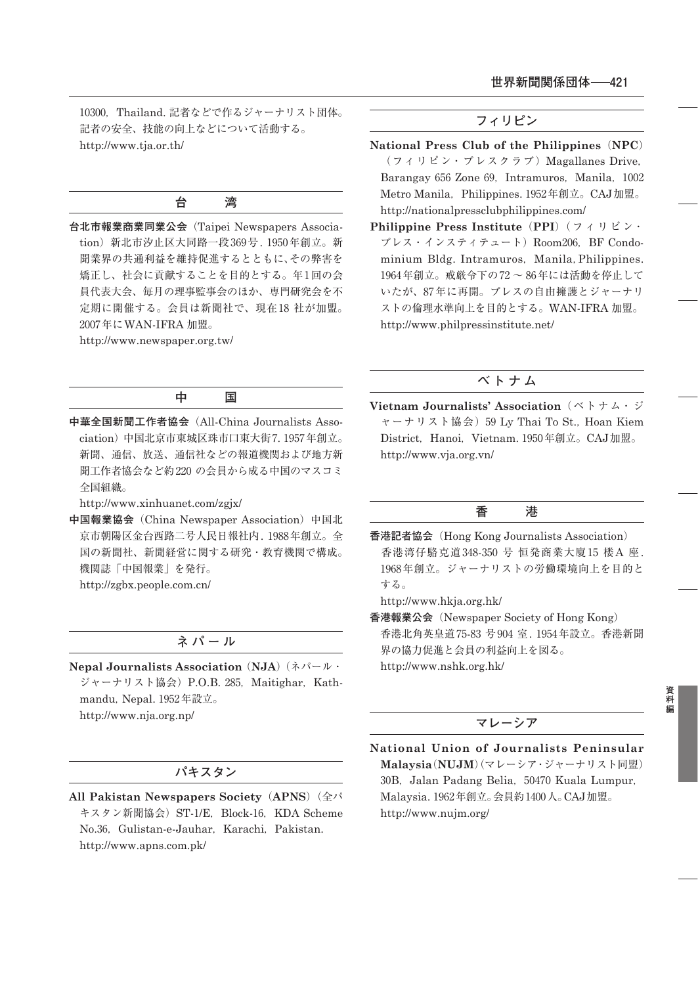10300, Thailand. 記者などで作るジャーナリスト団体。 記者の安全、技能の向上などについて活動する。 http://www.tja.or.th/

## **台 湾**

**台北市報業商業同業公会**(Taipei Newspapers Association) 新北市汐止区大同路一段 369号. 1950年創立。新 聞業界の共通利益を維持促進するとともに、その弊害を 矯正し、社会に貢献することを目的とする。年1回の会 員代表大会、毎月の理事監事会のほか、専門研究会を不 定期に開催する。会員は新聞社で、現在18社が加盟。 2007年にWAN-IFRA 加盟。

http://www.newspaper.org.tw/

#### **中 国**

**中華全国新聞工作者協会**(All-China Journalists Association)中国北京市東城区珠市口東大街 7. 1957年創立。 新聞、通信、放送、通信社などの報道機関および地方新 聞工作者協会など約 ₂₂₀ の会員から成る中国のマスコミ 全国組織。

http://www.xinhuanet.com/zgjx/

**中国報業協会**(China Newspaper Association)中国北 京市朝陽区金台西路二号人民日報社内. 1988年創立。全 国の新聞社、新聞経営に関する研究・教育機関で構成。 機関誌「中国報業」を発行。

http://zgbx.people.com.cn/

# **ネパール**

**Nepal Journalists Association**(**NJA**)(ネパール・ ジャーナリスト協会) P.O.B. 285, Maitighar, Kathmandu, Nepal. 1952年設立。 http://www.nja.org.np/

#### **パキスタン**

**All Pakistan Newspapers Society**(**APNS**)(全パ キスタン新聞協会) ST-1/E, Block-16, KDA Scheme No.36, Gulistan-e-Jauhar, Karachi, Pakistan. http://www.apns.com.pk/

# **フィリピン**

- **National Press Club of the Philippines**(**NPC**) (フィリピン・プレスクラブ)Magallanes Drive, Barangay 656 Zone 69, Intramuros, Manila, 1002 Metro Manila, Philippines. 1952年創立。CAJ加盟。 http://nationalpressclubphilippines.com/
- **Philippine Press Institute**(**PPI**)( フ ィ リ ピ ン・ プレス・インスティテュート) Room206, BF Condominium Bldg. Intramuros, Manila, Philippines. 1964年創立。戒厳令下の72~86年には活動を停止して いたが、87年に再開。プレスの自由擁護とジャーナリ ストの倫理水準向上を目的とする。WAN-IFRA 加盟。 http://www.philpressinstitute.net/

# **ベトナム**

**Vietnam Journalists' Association**( ベ ト ナ ム・ ジ ャーナリスト協会) 59 Ly Thai To St., Hoan Kiem District, Hanoi, Vietnam. 1950年創立。CAJ加盟。 http://www.vja.org.vn/

#### **香 港**

**香港記者協会**(Hong Kong Journalists Association) 香港湾仔駱克道 348-350 号 恒発商業大廈 15 楼 A 座. 1968年創立。ジャーナリストの労働環境向上を目的と する。

http://www.hkja.org.hk/

**香港報業公会**(Newspaper Society of Hong Kong) 香港北角英皇道 ₇₅-₈₃ 号 ₉₀₄ 室. ₁₉₅₄年設立。香港新聞 界の協力促進と会員の利益向上を図る。

http://www.nshk.org.hk/

#### **マレーシア**

**National Union of Journalists Peninsular Malaysia**(**NUJM**)(マレーシア・ジャーナリスト同盟) 30B, Jalan Padang Belia, 50470 Kuala Lumpur, Malaysia. 1962年創立。会員約 1400人。CAJ加盟。 http://www.nujm.org/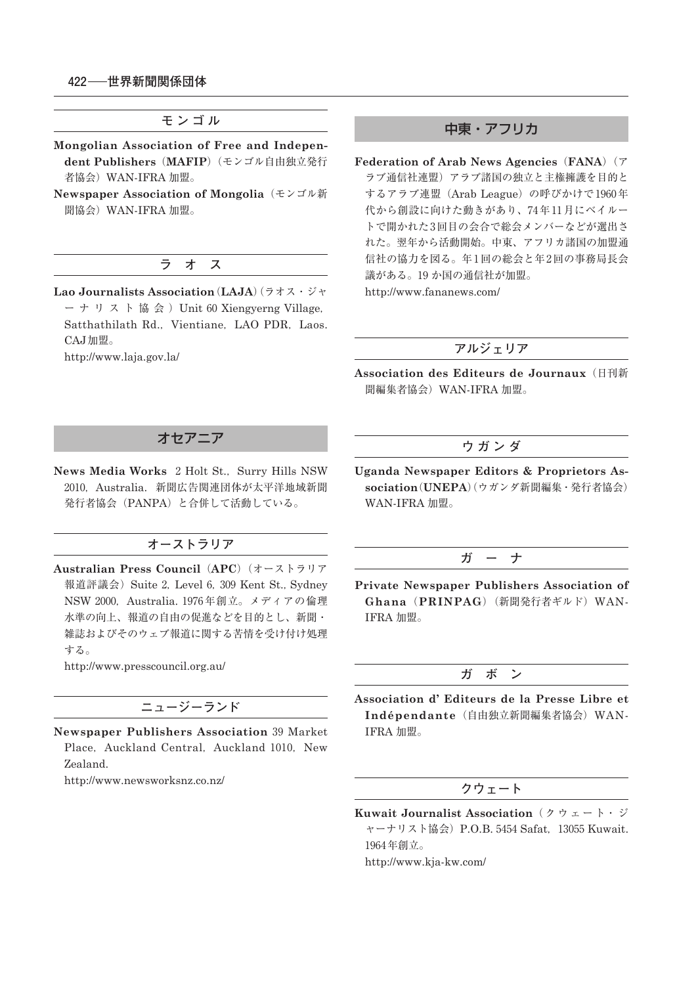**モンゴル**

- **Mongolian Association of Free and Independent Publishers**(**MAFIP**)(モンゴル自由独立発行 者協会)WAN-IFRA 加盟。
- **Newspaper Association of Mongolia**(モンゴル新 聞協会)WAN-IFRA 加盟。

# **ラ オ ス**

**Lao Journalists Association**(**LAJA**)(ラオス・ジャ ーナリスト協会) Unit 60 Xiengyerng Village, Satthathilath Rd., Vientiane, LAO PDR, Laos. CAJ加盟。

http://www.laja.gov.la/

## 中東・アフリカ

**Federation of Arab News Agencies**(**FANA**)(ア ラブ通信社連盟)アラブ諸国の独立と主権擁護を目的と するアラブ連盟 (Arab League)の呼びかけで1960年 代から創設に向けた動きがあり、74年11月にベイルー トで開かれた3回目の会合で総会メンバーなどが選出さ れた。翌年から活動開始。中東、アフリカ諸国の加盟通 信社の協力を図る。年1回の総会と年2回の事務局長会 議がある。19か国の通信社が加盟。

http://www.fananews.com/

#### **アルジェリア**

**Association des Editeurs de Journaux**(日刊新 聞編集者協会)WAN-IFRA 加盟。

#### **ウガンダ**

**Uganda Newspaper Editors & Proprietors Association**(**UNEPA**)(ウガンダ新聞編集・発行者協会) WAN-IFRA 加盟。

# **ガ ー ナ**

**Private Newspaper Publishers Association of Ghana**(**PRINPAG**)(新聞発行者ギルド)WAN-IFRA 加盟。

#### **ガ ボ ン**

**Association d' Editeurs de la Presse Libre et Indépendante**(自由独立新聞編集者協会)WAN-IFRA 加盟。

# **クウェート**

**Kuwait Journalist Association**( ク ウ ェ ー ト・ ジ ャーナリスト協会) P.O.B. 5454 Safat, 13055 Kuwait. 1964年創立。

http://www.kja-kw.com/

# オセアニア

**News Media Works** 2 Holt St., Surry Hills NSW ₂₀₁₀,Australia. 新聞広告関連団体が太平洋地域新聞 発行者協会(PANPA)と合併して活動している。

## **オーストラリア**

**Australian Press Council**(**APC**)(オーストラリア 報道評議会) Suite 2, Level 6, 309 Kent St., Sydney NSW 2000, Australia. 1976年創立。メディアの倫理 水準の向上、報道の自由の促進などを目的とし、新聞・ 雑誌およびそのウェブ報道に関する苦情を受け付け処理 する。

http://www.presscouncil.org.au/

# **ニュージーランド**

**Newspaper Publishers Association** ₃₉ Market Place, Auckland Central, Auckland 1010, New Zealand.

http://www.newsworksnz.co.nz/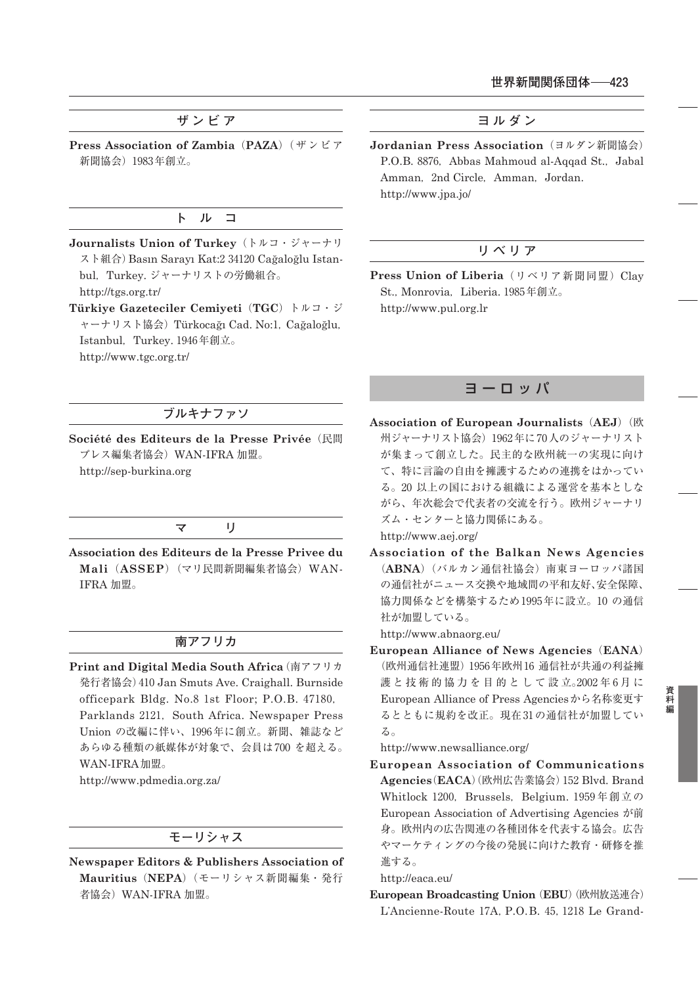# **ザンビア**

**Press Association of Zambia**(**PAZA**)(ザンビア 新聞協会) 1983年創立。

#### **ト ル コ**

- **Journalists Union of Turkey**(トルコ・ジャーナリ スト組合) Basın Sarayı Kat:2 34120 Cağaloğlu Istanbul, Turkey. ジャーナリストの労働組合。 http://tgs.org.tr/
- **Türkiye Gazeteciler Cemiyeti**(**TGC**)トルコ・ジ ャーナリスト協会) Türkocağı Cad. No:1, Cağaloğlu, Istanbul, Turkey. 1946年創立。 http://www.tgc.org.tr/

# **ブルキナファソ**

**Société des Editeurs de la Presse Privée**(民間 プレス編集者協会)WAN-IFRA 加盟。 http://sep-burkina.org

#### **マ リ**

**Association des Editeurs de la Presse Privee du Mali**(**ASSEP**)(マリ民間新聞編集者協会)WAN-IFRA 加盟。

# **南アフリカ**

**Print and Digital Media South Africa**(南アフリカ 発行者協会) 410 Jan Smuts Ave. Craighall. Burnside officepark Bldg. No.8 1st Floor; P.O.B. 47180, Parklands 2121, South Africa. Newspaper Press Union の改編に伴い、1996年に創立。新聞、雑誌など あらゆる種類の紙媒体が対象で、会員は700を超える。 WAN-IFRA加盟。

http://www.pdmedia.org.za/

# **モーリシャス**

**Newspaper Editors & Publishers Association of Mauritius**(**NEPA**)(モーリシャス新聞編集・発行 者協会)WAN-IFRA 加盟。

**ヨルダン**

**Jordanian Press Association** (ヨルダン新聞協会) P.O.B. 8876, Abbas Mahmoud al-Aqqad St., Jabal Amman, 2nd Circle, Amman, Jordan. http://www.jpa.jo/

# **リベリア**

**Press Union of Liberia** (リベリア新聞同盟) Clay St., Monrovia, Liberia. 1985年創立。 http://www.pul.org.lr

## ヨーロッパ

**Association of European Journalists**(**AEJ**)(欧 州ジャーナリスト協会) 1962年に70人のジャーナリスト が集まって創立した。民主的な欧州統一の実現に向け て、特に言論の自由を擁護するための連携をはかってい る。₂₀ 以上の国における組織による運営を基本としな がら、年次総会で代表者の交流を行う。欧州ジャーナリ ズム・センターと協力関係にある。

http://www.aej.org/

**Association of the Balkan News Agencies** (**ABNA**)(バルカン通信社協会)南東ヨーロッパ諸国 の通信社がニュース交換や地域間の平和友好、安全保障、 協力関係などを構築するため1995年に設立。10の通信 社が加盟している。

http://www.abnaorg.eu/

**European Alliance of News Agencies**(**EANA**) (欧州通信社連盟) 1956年欧州 16 通信社が共通の利益擁 護 と 技 術 的 協 力 を 目 的 と し て 設 立。2002年6月に European Alliance of Press Agenciesから名称変更す るとともに規約を改正。現在31の通信社が加盟してい る。

http://www.newsalliance.org/

**European Association of Communications** Agencies (EACA) (欧州広告業協会) 152 Blvd. Brand Whitlock 1200, Brussels, Belgium. 1959年創立の European Association of Advertising Agencies が前 身。欧州内の広告関連の各種団体を代表する協会。広告 やマーケティングの今後の発展に向けた教育・研修を推 進する。

## http://eaca.eu/

**European Broadcasting Union**(**EBU**)(欧州放送連合) L'Ancienne-Route 17A, P.O.B. 45, 1218 Le Grand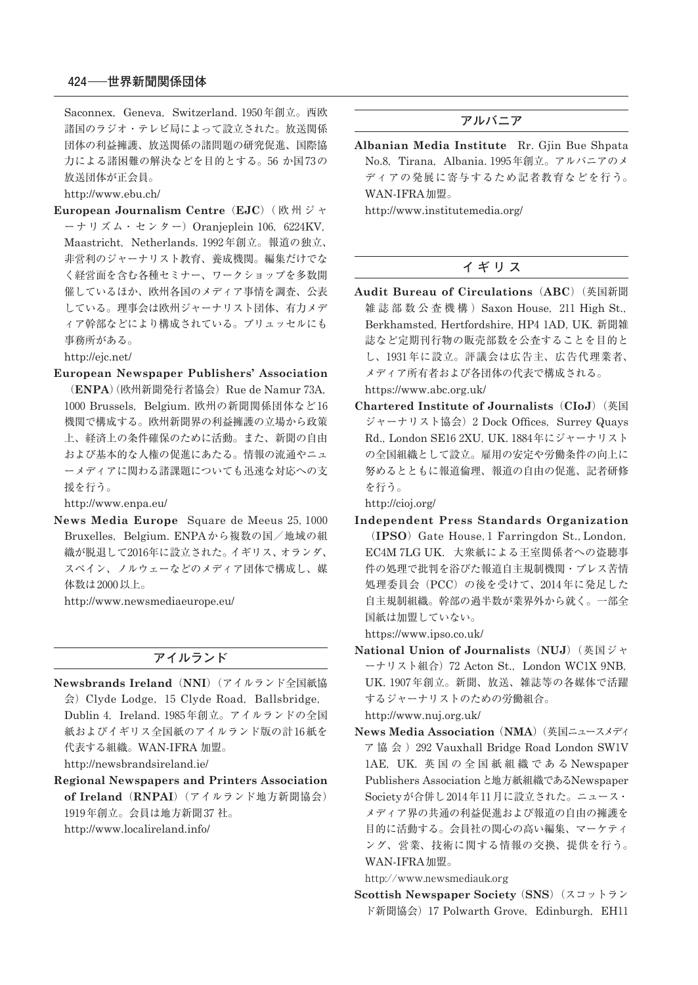Saconnex, Geneva, Switzerland. 1950年創立。西欧 諸国のラジオ・テレビ局によって設立された。放送関係 団体の利益擁護、放送関係の諸問題の研究促進、国際協 力による諸困難の解決などを目的とする。56 か国73の 放送団体が正会員。

http://www.ebu.ch/

**European Journalism Centre**(**EJC**)( 欧 州 ジ ャ ーナリズム・センター) Oranjeplein 106, 6224KV, Maastricht, Netherlands. 1992年創立。報道の独立、 非営利のジャーナリスト教育、養成機関。編集だけでな く経営面を含む各種セミナー、ワークショップを多数開 催しているほか、欧州各国のメディア事情を調査、公表 している。理事会は欧州ジャーナリスト団体、有力メデ ィア幹部などにより構成されている。ブリュッセルにも 事務所がある。

http://ejc.net/

**European Newspaper Publishers' Association**

(ENPA) (欧州新聞発行者協会) Rue de Namur 73A, 1000 Brussels, Belgium. 欧州の新聞関係団体など16 機関で構成する。欧州新聞界の利益擁護の立場から政策 上、経済上の条件確保のために活動。また、新聞の自由 および基本的な人権の促進にあたる。情報の流通やニュ ーメディアに関わる諸課題についても迅速な対応への支 援を行う。

http://www.enpa.eu/

News Media Europe Square de Meeus 25, 1000 Bruxelles, Belgium. ENPAから複数の国/地域の組 織が脱退して2016年に設立された。イギリス、オランダ、 スペイン、ノルウェーなどのメディア団体で構成し、媒 体数は 2000 以上。

http://www.newsmediaeurope.eu/

# **アイルランド**

- **Newsbrands Ireland**(**NNI**)(アイルランド全国紙協 会)Clyde Lodge,₁₅ Clyde Road,Ballsbridge, Dublin 4, Ireland. 1985年創立。アイルランドの全国 紙およびイギリス全国紙のアイルランド版の計16紙を 代表する組織。WAN-IFRA 加盟。 http://newsbrandsireland.ie/
- **Regional Newspapers and Printers Association of Ireland** (RNPAI) (アイルランド地方新聞協会) 1919年創立。会員は地方新聞 37 社。 http://www.localireland.info/

#### **アルバニア**

**Albanian Media Institute** Rr. Gjin Bue Shpata No.8, Tirana, Albania. 1995年創立。アルバニアのメ ディアの発展に寄与するため記者教育などを行う。 WAN-IFRA加盟。 http://www.institutemedia.org/

**イギリス**

- **Audit Bureau of Circulations**(**ABC**)(英国新聞 雑誌部数公查機構) Saxon House, 211 High St., Berkhamsted, Hertfordshire, HP4 1AD, UK. 新聞雑 誌など定期刊行物の販売部数を公査することを目的と し、1931年に設立。評議会は広告主、広告代理業者、 メディア所有者および各団体の代表で構成される。 https://www.abc.org.uk/
- **Chartered Institute of Journalists**(**CIoJ**)(英国 ジャーナリスト協会) 2 Dock Offices, Surrey Quays Rd., London SE16 2XU, UK. 1884年にジャーナリスト の全国組織として設立。雇用の安定や労働条件の向上に 努めるとともに報道倫理、報道の自由の促進、記者研修 を行う。

http://cioj.org/

**Independent Press Standards Organization** (**IPSO**) Gate House,₁ Farringdon St.,London, EC4M 7LG UK. 大衆紙による王室関係者への盗聴事 件の処理で批判を浴びた報道自主規制機関・プレス苦情 処理委員会(PCC)の後を受けて、2014年に発足した 自主規制組織。幹部の過半数が業界外から就く。一部全 国紙は加盟していない。

https://www.ipso.co.uk/

**National Union of Journalists**(**NUJ**)(英国ジャ ーナリスト組合) 72 Acton St., London WC1X 9NB, UK. 1907年創立。新聞、放送、雑誌等の各媒体で活躍 するジャーナリストのための労働組合。

http://www.nuj.org.uk/

**News Media Association**(**NMA**)(英国ニュースメディ ア協会) 292 Vauxhall Bridge Road London SW1V ₁AE,UK. 英国の全国紙組織である Newspaper Publishers Association と地方紙組織であるNewspaper Societyが合併し2014年11月に設立された。ニュース・ メディア界の共通の利益促進および報道の自由の擁護を 目的に活動する。会員社の関心の高い編集、マーケティ ング、営業、技術に関する情報の交換、提供を行う。 WAN-IFRA加盟。

http://www.newsmediauk.org

**Scottish Newspaper Society** (**SNS**)(スコットラン ド新聞協会) 17 Polwarth Grove, Edinburgh, EH11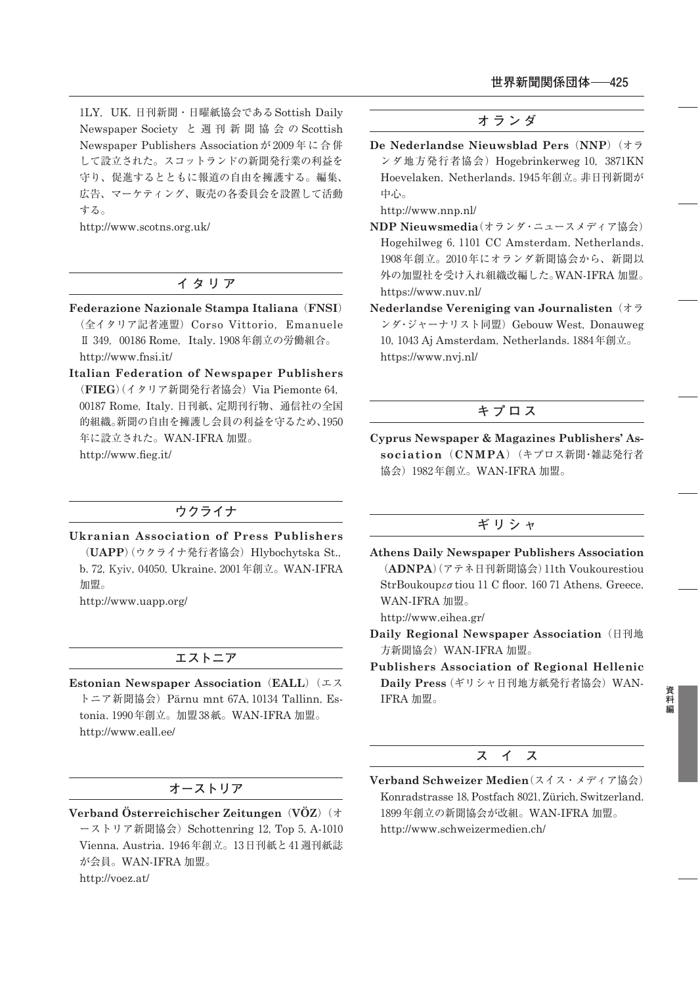1LY, UK. 日刊新聞·日曜紙協会である Sottish Daily Newspaper Society と週刊新聞協会の Scottish Newspaper Publishers Association が 2009年に合併 して設立された。スコットランドの新聞発行業の利益を 守り、促進するとともに報道の自由を擁護する。編集、 広告、マーケティング、販売の各委員会を設置して活動 する。

http://www.scotns.org.uk/

## **イタリア**

- **Federazione Nazionale Stampa Italiana**(**FNSI**) (全イタリア記者連盟) Corso Vittorio, Emanuele Ⅱ 349, 00186 Rome, Italy. 1908年創立の労働組合。 http://www.fnsi.it/
- **Italian Federation of Newspaper Publishers** (FIEG)(イタリア新聞発行者協会) Via Piemonte 64, ₀₀₁₈₇ Rome,Italy. 日刊紙、定期刊行物、通信社の全国 的組織。新聞の自由を擁護し会員の利益を守るため、1950 年に設立された。WAN-IFRA 加盟。 http://www.fieg.it/

# **ウクライナ**

**Ukranian Association of Press Publishers** (**UAPP**)(ウクライナ発行者協会) Hlybochytska St., b. 72, Kyiv, 04050, Ukraine. 2001年創立。WAN-IFRA 加盟。

http://www.uapp.org/

## **エストニア**

**Estonian Newspaper Association**(**EALL**)(エス トニア新聞協会) Pärnu mnt 67A, 10134 Tallinn, Estonia. 1990年創立。加盟 38紙。WAN-IFRA 加盟。 http://www.eall.ee/

# **オーストリア**

**Verband Österreichischer Zeitungen**(**VÖZ**)(オ ーストリア新聞協会) Schottenring 12, Top 5, A-1010 Vienna, Austria. 1946年創立。13日刊紙と41 週刊紙誌 が会員。WAN-IFRA 加盟。 http://voez.at/

#### **オランダ**

**De Nederlandse Nieuwsblad Pers**(**NNP**)(オラ ンダ地方発行者協会) Hogebrinkerweg 10, 3871KN Hoevelaken, Netherlands. 1945年創立。非日刊新聞が 中心。

http://www.nnp.nl/

- **NDP Nieuwsmedia**(オランダ・ニュースメディア協会) Hogehilweg 6, 1101 CC Amsterdam, Netherlands. 1908年創立。2010年にオランダ新聞協会から、新聞以 外の加盟社を受け入れ組織改編した。WAN-IFRA 加盟。 https://www.nuv.nl/
- **Nederlandse Vereniging van Journalisten**(オラ ンダ・ジャーナリスト同盟) Gebouw West, Donauweg 10, 1043 Aj Amsterdam, Netherlands. 1884年創立。 https://www.nvj.nl/

# **キプロス**

**Cyprus Newspaper & Magazines Publishers' Association**(**CNMPA**)(キプロス新聞・雑誌発行者 協会) 1982年創立。WAN-IFRA 加盟。

# **ギリシャ**

- **Athens Daily Newspaper Publishers Association** (ADNPA)(アテネ日刊新聞協会)11th Voukourestiou StrBoukoupεσtiou 11 C floor, 160 71 Athens, Greece. WAN-IFRA 加盟。 http://www.eihea.gr/
- **Daily Regional Newspaper Association**(日刊地 方新聞協会)WAN-IFRA 加盟。
- **Publishers Association of Regional Hellenic Daily Press**(ギリシャ日刊地方紙発行者協会)WAN-IFRA 加盟。

#### **ス イ ス**

**Verband Schweizer Medien**(スイス・メディア協会) Konradstrasse 18, Postfach 8021, Zürich, Switzerland. 1899年創立の新聞協会が改組。WAN-IFRA 加盟。 http://www.schweizermedien.ch/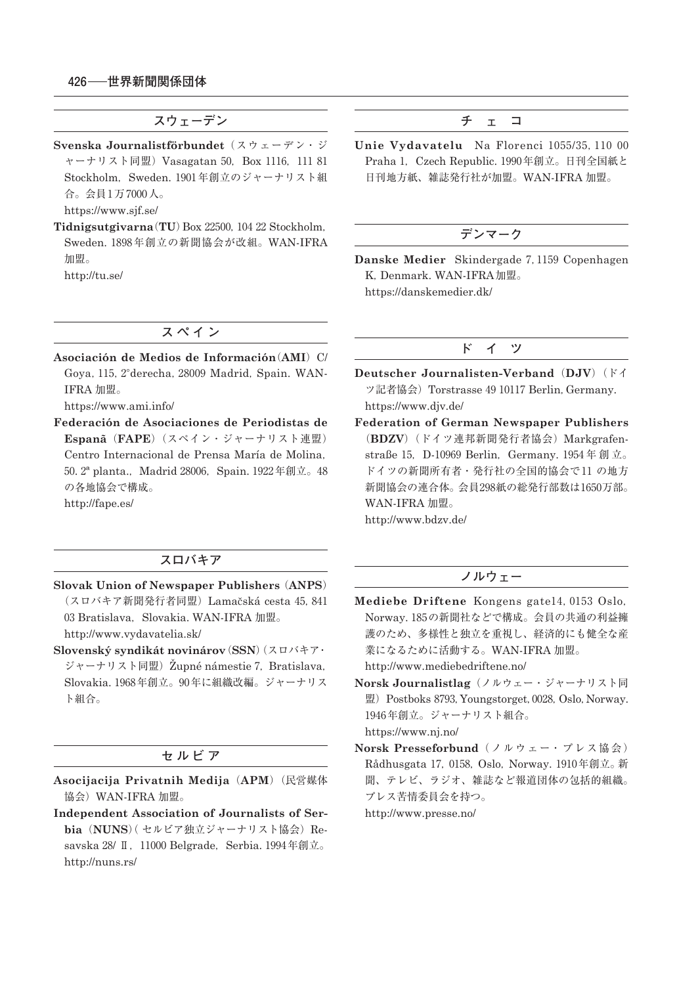**スウェーデン**

- **Svenska Journalistförbundet**(スウェーデン・ジ ャーナリスト同盟) Vasagatan 50, Box 1116, 111 81 Stockholm, Sweden 1901年創立のジャーナリスト組 合。会員 ₁万 ₇₀₀₀人。 https://www.sjf.se/
- Tidnigsutgivarna(TU)Box 22500, 104 22 Stockholm, Sweden. ₁₈₉₈年創立の新聞協会が改組。WAN-IFRA 加盟。 http://tu.se/

**チ ェ コ**

Unie Vydavatelu Na Florenci 1055/35, 110 00 Praha 1, Czech Republic. 1990年創立。日刊全国紙と 日刊地方紙、雑誌発行社が加盟。WAN-IFRA 加盟。

# **デンマーク**

Danske Medier Skindergade 7, 1159 Copenhagen K,Denmark. WAN-IFRA加盟。 https://danskemedier.dk/

## **スペイン**

**Asociación de Medios de Información**(**AMI**)C/ Goya, 115, 2°derecha, 28009 Madrid, Spain. WAN-IFRA 加盟。

https://www.ami.info/

**Federación de Asociaciones de Periodistas de Espanã**(**FAPE**)(スペイン・ジャーナリスト連盟) Centro Internacional de Prensa María de Molina, 50. 2<sup>ª</sup> planta., Madrid 28006, Spain. 1922年創立。48 の各地協会で構成。 http://fape.es/

## **スロバキア**

- **Slovak Union of Newspaper Publishers**(**ANPS**) (スロバキア新聞発行者同盟) Lamačská cesta 45, 841 03 Bratislava, Slovakia. WAN-IFRA 加盟。 http://www.vydavatelia.sk/
- **Slovenský syndikát novinárov**(**SSN**)(スロバキア・ ジャーナリスト同盟) Župné námestie 7, Bratislava, Slovakia. 1968年創立。90年に組織改編。ジャーナリス ト組合。

#### **セルビア**

- **Asocijacija Privatnih Medija**(**APM**)(民営媒体 協会)WAN-IFRA 加盟。
- **Independent Association of Journalists of Serbia** (NUNS) (セルビア独立ジャーナリスト協会) Resavska 28/ II, 11000 Belgrade, Serbia. 1994年創立。 http://nuns.rs/

#### **ド イ ツ**

- **Deutscher Journalisten-Verband**(**DJV**)(ドイ ッ記者協会) Torstrasse 49 10117 Berlin, Germany. https://www.djv.de/
- **Federation of German Newspaper Publishers** (**BDZV**)(ドイツ連邦新聞発行者協会)Markgrafenstraße 15, D-10969 Berlin, Germany. 1954年創立。 ドイツの新聞所有者・発行社の全国的協会で11の地方 新聞協会の連合体。会員298紙の総発行部数は1650万部。 WAN-IFRA 加盟。 http://www.bdzv.de/

#### **ノルウェー**

Mediebe Driftene Kongens gate<sup>14</sup>, 0153 Oslo, Norway. ₁₈₅の新聞社などで構成。会員の共通の利益擁 護のため、多様性と独立を重視し、経済的にも健全な産 業になるために活動する。WAN-IFRA 加盟。

http://www.mediebedriftene.no/

- **Norsk Journalistlag**(ノルウェー・ジャーナリスト同 盟) Postboks 8793, Youngstorget, 0028, Oslo, Norway. 1946年創立。ジャーナリスト組合。 https://www.nj.no/
- **Norsk Presseforbund**(ノルウェー・プレス協会) Rådhusgata 17, 0158, Oslo, Norway. 1910年創立。新 聞、テレビ、ラジオ、雑誌など報道団体の包括的組織。 プレス苦情委員会を持つ。

http://www.presse.no/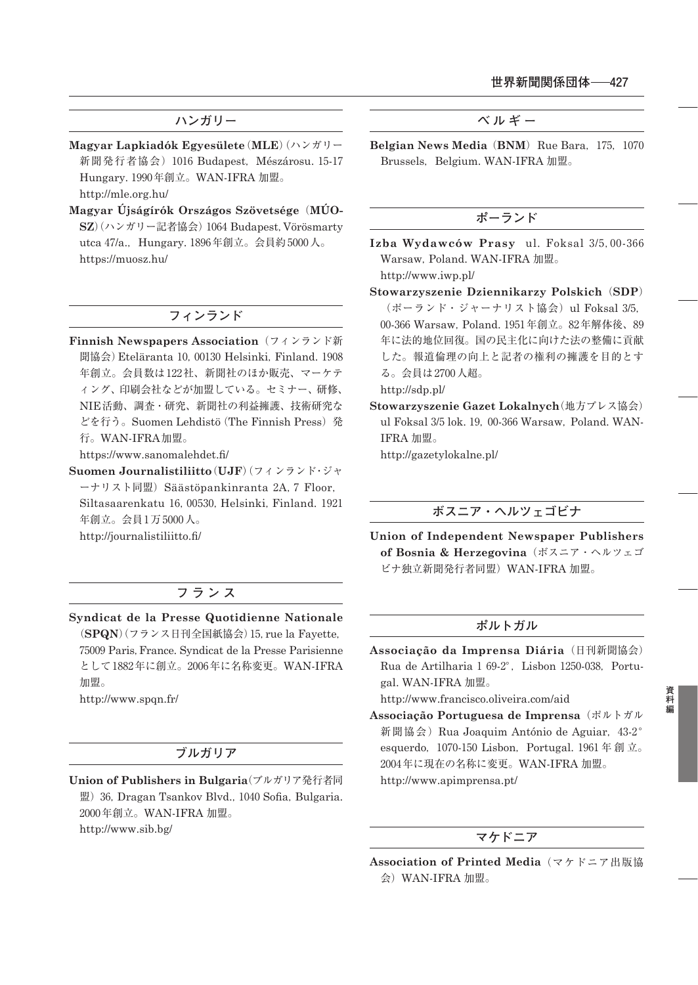# **ハンガリー**

- **Magyar Lapkiadók Egyesülete**(**MLE**)(ハンガリー 新聞発行者協会) 1016 Budapest, Mészárosu. 15-17 Hungary. 1990年創立。WAN-IFRA 加盟。 http://mle.org.hu/
- **Magyar Újságírók Országos Szövetsége**(**MÚO-**SZ)(ハンガリー記者協会) 1064 Budapest, Vörösmarty utca 47/a., Hungary. 1896年創立。会員約 5000人。 https://muosz.hu/

## **フィンランド**

**Finnish Newspapers Association**(フィンランド新 聞協会) Eteläranta 10, 00130 Helsinki, Finland. 1908 年創立。会員数は122社、新聞社のほか販売、マーケテ ィング、印刷会社などが加盟している。セミナー、研修、 NIE活動、調査・研究、新聞社の利益擁護、技術研究な どを行う。Suomen Lehdistö(The Finnish Press)発 行。WAN-IFRA加盟。

https://www.sanomalehdet.fi/

**Suomen Journalistiliitto**(**UJF**)(フィンランド・ジャ ーナリスト同盟) Säästöpankinranta 2A, 7 Floor, Siltasaarenkatu 16, 00530, Helsinki, Finland. 1921 年創立。会員1万5000人。 http://journalistiliitto.fi/

# **フランス**

**Syndicat de la Presse Quotidienne Nationale** (**SPQN**)(フランス日刊全国紙協会)₁₅,rue la Fayette, ₇₅₀₀₉ Paris,France. Syndicat de la Presse Parisienne として1882年に創立。2006年に名称変更。WAN-IFRA 加盟。

http://www.spqn.fr/

#### **ブルガリア**

**Union of Publishers in Bulgaria**(ブルガリア発行者同 盟) 36, Dragan Tsankov Blvd., 1040 Sofia, Bulgaria. ₂₀₀₀年創立。WAN-IFRA 加盟。 http://www.sib.bg/

**ベルギー**

**Belgian News Media** (**BNM**) Rue Bara, 175, 1070 Brussels, Belgium. WAN-IFRA 加盟。

## **ポーランド**

Izba Wydawców Prasy ul. Foksal 3/5,00-366 Warsaw, Poland. WAN-IFRA 加盟。 http://www.iwp.pl/

**Stowarzyszenie Dziennikarzy Polskich**(**SDP**)  $($ ポーランド・ジャーナリスト協会)ul Foksal 3/5, 00-366 Warsaw, Poland. 1951年創立。82年解体後、89 年に法的地位回復。国の民主化に向けた法の整備に貢献 した。報道倫理の向上と記者の権利の擁護を目的とす る。会員は 2700人超。 http://sdp.pl/

**Stowarzyszenie Gazet Lokalnych**(地方プレス協会) ul Foksal  $3/5$  lok. 19, 00-366 Warsaw, Poland. WAN-IFRA 加盟。

http://gazetylokalne.pl/

## **ボスニア・ヘルツェゴビナ**

**Union of Independent Newspaper Publishers of Bosnia & Herzegovina**(ボスニア・ヘルツェゴ ビナ独立新聞発行者同盟)WAN-IFRA 加盟。

#### **ポルトガル**

**Associação da Imprensa Diária**(日刊新聞協会) Rua de Artilharia 1 69-2°, Lisbon 1250-038, Portugal. WAN-IFRA 加盟。

http://www.francisco.oliveira.com/aid

**Associação Portuguesa de Imprensa**(ポルトガル 新聞協会) Rua Joaquim António de Aguiar, 43-2° esquerdo, 1070-150 Lisbon, Portugal. 1961年創立。 ₂₀₀₄年に現在の名称に変更。WAN-IFRA 加盟。 http://www.apimprensa.pt/

# **マケドニア**

**Association of Printed Media**(マケドニア出版協 会)WAN-IFRA 加盟。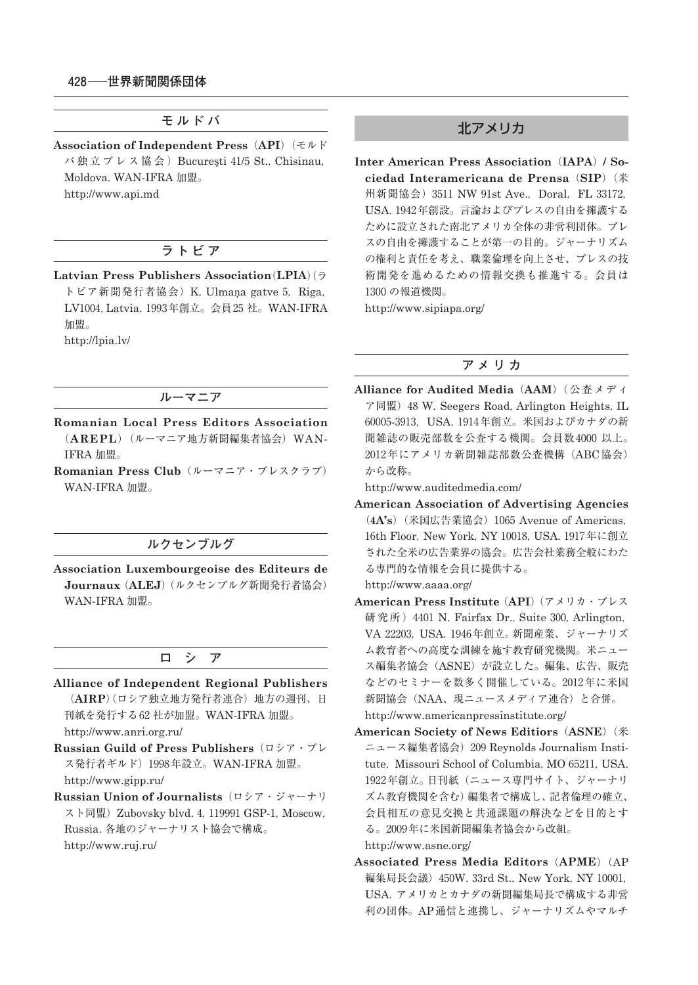**モルドバ**

**Association of Independent Press**(**API**)(モルド バ独立プレス協会) Bucuresti 41/5 St., Chisinau, Moldova. WAN-IFRA 加盟。 http://www.api.md

# **ラトビア**

**Latvian Press Publishers Association**(**LPIA**)(ラ

トビア新聞発行者協会) K. Ulmaņa gatve 5, Riga, LV1004, Latvia. 1993年創立。会員 25 社。WAN-IFRA 加盟。 http://lpia.lv/

#### **ルーマニア**

**Romanian Local Press Editors Association** (**AREPL**)(ルーマニア地方新聞編集者協会)WAN-IFRA 加盟。

**Romanian Press Club**(ルーマニア・プレスクラブ) WAN-IFRA 加盟。

## **ルクセンブルグ**

**Association Luxembourgeoise des Editeurs de Journaux**(**ALEJ**)(ルクセンブルグ新聞発行者協会) WAN-IFRA 加盟。

### **ロ シ ア**

- **Alliance of Independent Regional Publishers** (**AIRP**)(ロシア独立地方発行者連合)地方の週刊、日 刊紙を発行する62社が加盟。WAN-IFRA 加盟。 http://www.anri.org.ru/
- **Russian Guild of Press Publishers**(ロシア・プレ ス発行者ギルド) 1998年設立。WAN-IFRA 加盟。 http://www.gipp.ru/
- **Russian Union of Journalists**(ロシア・ジャーナリ スト同盟) Zubovsky blvd. 4, 119991 GSP-1, Moscow, Russia. 各地のジャーナリスト協会で構成。 http://www.ruj.ru/

# 北アメリカ

**Inter American Press Association**(**IAPA**)**/ Sociedad Interamericana de Prensa**(**SIP**)(米 州新聞協会) 3511 NW 91st Ave., Doral, FL 33172. USA. 1942年創設。言論およびプレスの自由を擁護する ために設立された南北アメリカ全体の非営利団体。プレ スの自由を擁護することが第一の目的。ジャーナリズム の権利と責任を考え、職業倫理を向上させ、プレスの技 術開発を進めるための情報交換も推進する。会員は 1300 の報道機関。

http://www.sipiapa.org/

#### **アメリカ**

**Alliance for Audited Media**(**AAM**)(公査メディ ア同盟)₄₈ W. Seegers Road,Arlington Heights,IL 60005-3913, USA. 1914年創立。米国およびカナダの新 聞雑誌の販売部数を公査する機関。会員数 ₄₀₀₀ 以上。 ₂₀₁₂年にアメリカ新聞雑誌部数公査機構(ABC協会) から改称。

http://www.auditedmedia.com/

**American Association of Advertising Agencies** (4A's) (米国広告業協会) 1065 Avenue of Americas, 16th Floor, New York, NY 10018, USA, 1917年に創立 された全米の広告業界の協会。広告会社業務全般にわた る専門的な情報を会員に提供する。 http://www.aaaa.org/

**American Press Institute**(**API**)(アメリカ・プレス 研究所) 4401 N. Fairfax Dr., Suite 300, Arlington, VA 22203, USA. 1946年創立。新聞産業、ジャーナリズ ム教育者への高度な訓練を施す教育研究機関。米ニュー

- ス編集者協会(ASNE)が設立した。編集、広告、販売 などのセミナーを数多く開催している。2012年に米国 新聞協会(NAA、現ニュースメディア連合)と合併。 http://www.americanpressinstitute.org/
- **American Society of News Editiors**(**ASNE**)(米 ニュース編集者協会) 209 Reynolds Journalism Institute, Missouri School of Columbia, MO 65211, USA. 1922年創立。日刊紙(ニュース専門サイト、ジャーナリ ズム教育機関を含む)編集者で構成し、記者倫理の確立、 会員相互の意見交換と共通課題の解決などを目的とす る。2009年に米国新聞編集者協会から改組。 http://www.asne.org/
- **Associated Press Media Editors**(**APME**)(AP 編集局長会議) 450W. 33rd St., New York, NY 10001, USA. アメリカとカナダの新聞編集局長で構成する非営 利の団体。AP通信と連携し、ジャーナリズムやマルチ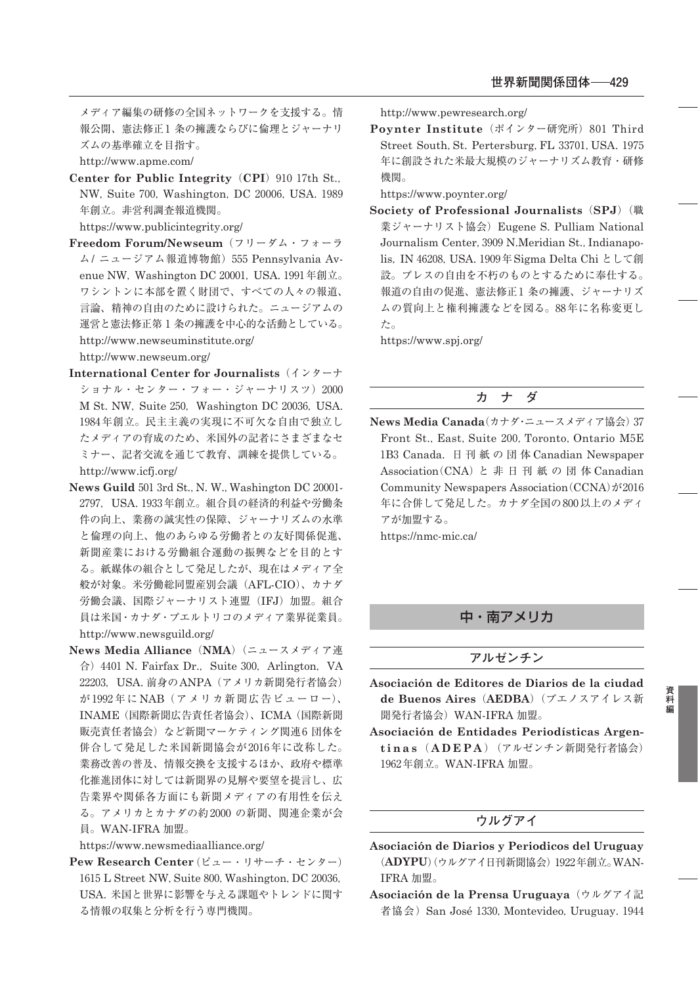メディア編集の研修の全国ネットワークを支援する。情 報公開、憲法修正1条の擁護ならびに倫理とジャーナリ ズムの基準確立を目指す。

http://www.apme.com/

**Center for Public Integrity** (CPI) 910 17th St., NW, Suite 700, Washington, DC 20006, USA, 1989 年創立。非営利調査報道機関。

https://www.publicintegrity.org/

- **Freedom Forum/Newseum**(フリーダム・フォーラ ム/ニュージアム報道博物館) 555 Pennsylvania Avenue NW, Washington DC 20001, USA. 1991年創立。 ワシントンに本部を置く財団で、すべての人々の報道、 言論、精神の自由のために設けられた。ニュージアムの 運営と憲法修正第 ₁ 条の擁護を中心的な活動としている。 http://www.newseuminstitute.org/ http://www.newseum.org/
- **International Center for Journalists**(インターナ ショナル・センター・フォー・ジャーナリスツ) 2000 M St. NW, Suite 250, Washington DC 20036, USA. 1984年創立。民主主義の実現に不可欠な自由で独立し たメディアの育成のため、米国外の記者にさまざまなセ ミナー、記者交流を通じて教育、訓練を提供している。 http://www.icfj.org/
- News Guild 501 3rd St., N. W., Washington DC 20001-2797, USA. 1933年創立。組合員の経済的利益や労働条 件の向上、業務の誠実性の保障、ジャーナリズムの水準 と倫理の向上、他のあらゆる労働者との友好関係促進、 新聞産業における労働組合運動の振興などを目的とす る。紙媒体の組合として発足したが、現在はメディア全 般が対象。米労働総同盟産別会議(AFL-CIO)、カナダ 労働会議、国際ジャーナリスト連盟(IFJ)加盟。組合 員は米国・カナダ・プエルトリコのメディア業界従業員。 http://www.newsguild.org/
- **News Media Alliance**(**NMA**)(ニュースメディア連 合) 4401 N. Fairfax Dr., Suite 300, Arlington, VA 22203, USA. 前身のANPA (アメリカ新聞発行者協会) が1992年に NAB (アメリカ新聞広告ビューロー)、 INAME(国際新聞広告責任者協会)、ICMA(国際新聞 販売責任者協会)など新聞マーケティング関連6団体を 併合して発足した米国新聞協会が2016年に改称した。 業務改善の普及、情報交換を支援するほか、政府や標準 化推進団体に対しては新聞界の見解や要望を提言し、広 告業界や関係各方面にも新聞メディアの有用性を伝え る。アメリカとカナダの約2000の新聞、関連企業が会 員。WAN-IFRA 加盟。

https://www.newsmediaalliance.org/

**Pew Research Center**(ピュー・リサーチ・センター) 1615 L Street NW, Suite 800, Washington, DC 20036, USA. 米国と世界に影響を与える課題やトレンドに関す る情報の収集と分析を行う専門機関。

http://www.pewresearch.org/

**Poynter Institute** (ポインター研究所) 801 Third Street South, St. Pertersburg, FL 33701, USA. 1975 年に創設された米最大規模のジャーナリズム教育・研修 機関。

https://www.poynter.org/

**Society of Professional Journalists**(**SPJ**)(職 業ジャーナリスト協会) Eugene S. Pulliam National Journalism Center, 3909 N.Meridian St., Indianapolis, IN 46208, USA. 1909年Sigma Delta Chi として創 設。プレスの自由を不朽のものとするために奉仕する。 報道の自由の促進、憲法修正1 条の擁護、ジャーナリズ ムの質向上と権利擁護などを図る。88年に名称変更し た。

https://www.spj.org/

#### **カ ナ ダ**

**News Media Canada**(カナダ・ニュースメディア協会) 37 Front St., East, Suite 200, Toronto, Ontario M5E 1B3 Canada. 日刊紙の団体 Canadian Newspaper Association(CNA)と 非 日 刊 紙 の 団 体 Canadian Community Newspapers Association  $(CCNA)$   $\dot{\gamma}$ <sup>2016</sup> 年に合併して発足した。カナダ全国の800以上のメディ アが加盟する。 https://nmc-mic.ca/

# 中・南アメリカ

#### **アルゼンチン**

**Asociación de Editores de Diarios de la ciudad de Buenos Aires**(**AEDBA**)(ブエノスアイレス新 聞発行者協会)WAN-IFRA 加盟。

**Asociación de Entidades Periodísticas Argentinas** ( **ADEPA** )(アルゼンチン新聞発行者協会) 1962年創立。WAN-IFRA 加盟。

#### **ウルグアイ**

- **Asociación de Diarios y Periodicos del Uruguay** (ADYPU)(ウルグアイ日刊新聞協会) 1922年創立。WAN-IFRA 加盟。
- **Asociación de la Prensa Uruguaya**(ウルグアイ記 者協会) San José 1330, Montevideo, Uruguay. 1944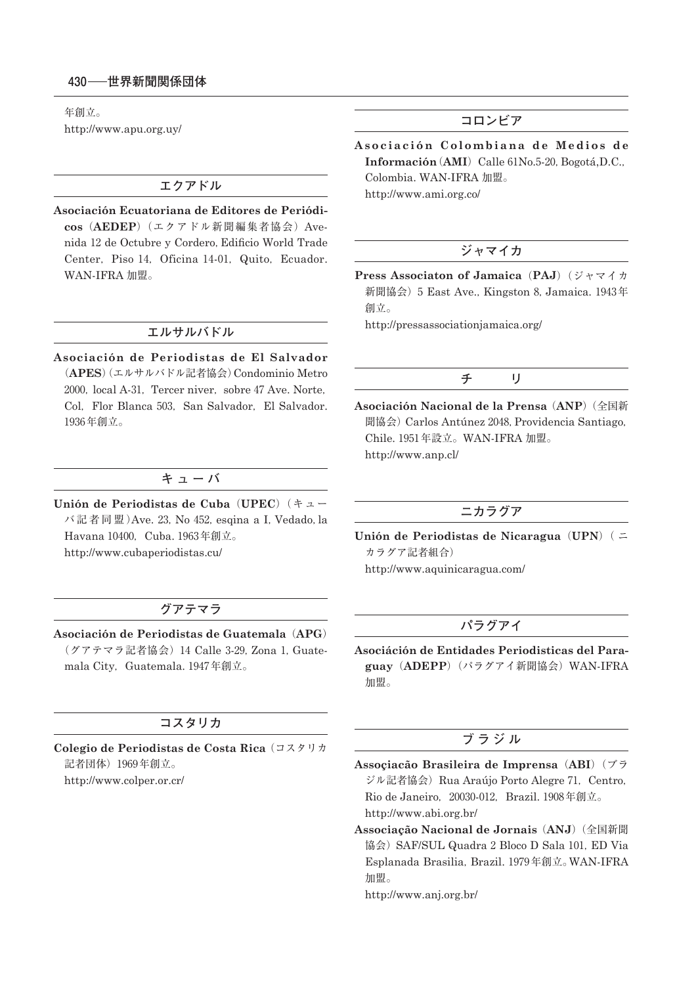年創立。 http://www.apu.org.uy/

# **エクアドル**

**Asociación Ecuatoriana de Editores de Periódicos**(**AEDEP**)(エクアドル新聞編集者協会)Avenida ₁₂ de Octubre y Cordero,Edificio World Trade Center, Piso 14, Oficina 14-01, Quito, Ecuador. WAN-IFRA 加盟。

#### **エルサルバドル**

**Asociación de Periodistas de El Salvador** (**APES**)(エルサルバドル記者協会)Condominio Metro 2000, local A-31, Tercer niver, sobre 47 Ave. Norte, Col, Flor Blanca 503, San Salvador, El Salvador. 1936年創立。

# **キューバ**

**Unión de Periodistas de Cuba**(**UPEC**)(キュー バ記者同盟)Ave. 23, No 452, esqina a I, Vedado, la Havana 10400, Cuba. 1963年創立。 http://www.cubaperiodistas.cu/

# **グアテマラ**

**Asociación de Periodistas de Guatemala**(**APG**) (グアテマラ記者協会) 14 Calle 3-29, Zona 1, Guatemala City, Guatemala. 1947年創立。

# **コスタリカ**

**Colegio de Periodistas de Costa Rica**(コスタリカ 記者団体) 1969年創立。 http://www.colper.or.cr/

# **コロンビア**

Asociación Colombiana de Medios de **Información** (AMI) Calle 61No.5-20, Bogotá,D.C., Colombia. WAN-IFRA 加盟。 http://www.ami.org.co/

# **ジャマイカ**

**Press Associaton of Jamaica**(**PAJ**)(ジャマイカ 新聞協会) 5 East Ave., Kingston 8, Jamaica. 1943年 創立。

http://pressassociationjamaica.org/

# **チ リ**

**Asociación Nacional de la Prensa**(**ANP**)(全国新 聞協会) Carlos Antúnez 2048, Providencia Santiago, Chile. 1951年設立。WAN-IFRA 加盟。 http://www.anp.cl/

#### **ニカラグア**

**Unión de Periodistas de Nicaragua**(**UPN**)( ニ カラグア記者組合) http://www.aquinicaragua.com/

# **パラグアイ**

**Asociáción de Entidades Periodisticas del Paraguay**(**ADEPP**)(パラグアイ新聞協会)WAN-IFRA 加盟。

# **ブラジル**

- **Assoçiacão Brasileira de Imprensa**(**ABI**)(ブラ ジル記者協会) Rua Araújo Porto Alegre 71, Centro, Rio de Janeiro, 20030-012, Brazil. 1908年創立。 http://www.abi.org.br/
- **Associação Nacional de Jornais**(**ANJ**)(全国新聞 協会) SAF/SUL Quadra 2 Bloco D Sala 101, ED Via Esplanada Brasilia, Brazil. 1979年創立。WAN-IFRA 加盟。

http://www.anj.org.br/